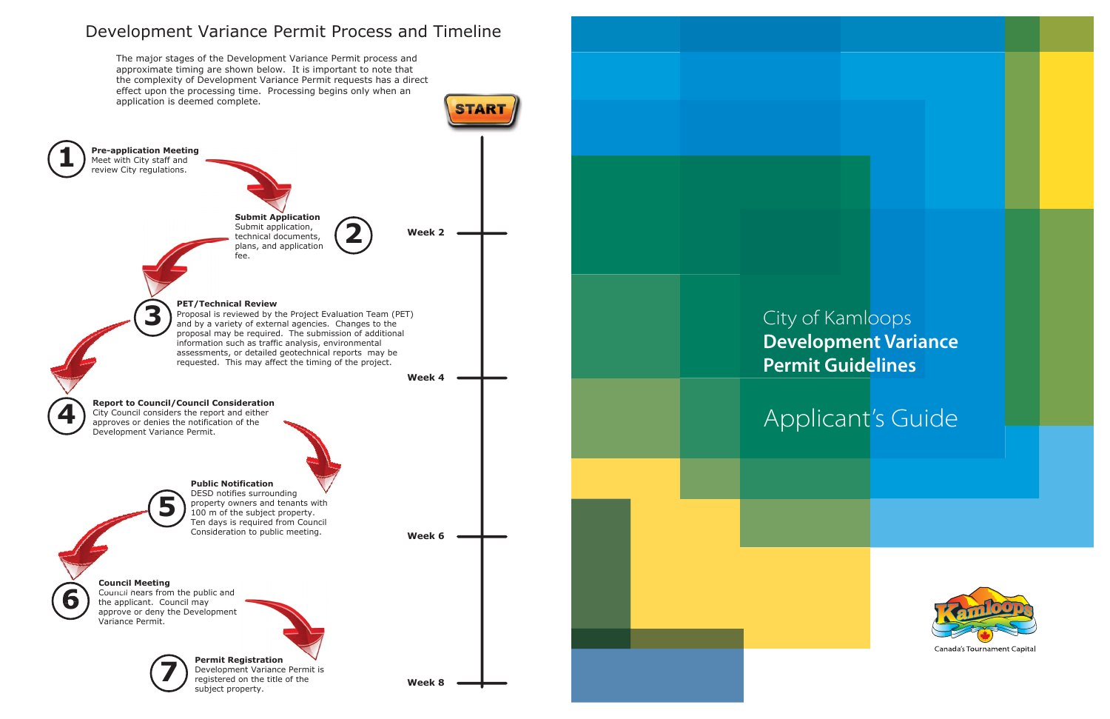

## City of Kamloops **Development Variance Permit Guidelines**

# Applicant's Guide



Canada's Tournament Capital